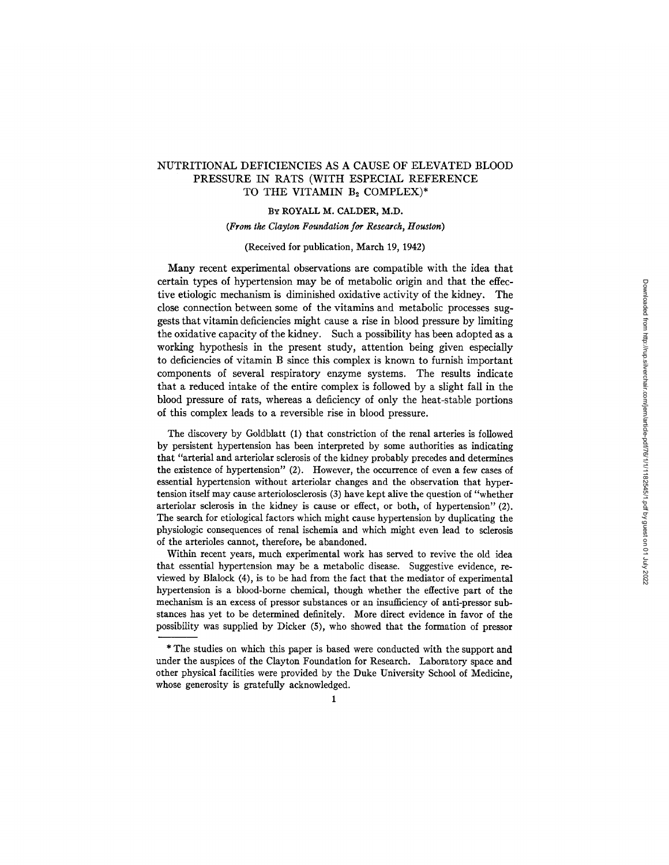# NUTRITIONAL DEFICIENCIES AS A CAUSE OF ELEVATED BLOOD PRESSURE IN RATS (WITH ESPECIAL REFERENCE TO THE VITAMIN  $B_2$  COMPLEX)\*

## BY ROYALL M. CALDER, M.D.

*(From the Clayton Foundation for Research, Houston)* 

#### (Received for publication, March 19, 1942)

Many recent experimental observations are compatible with the idea that certain types of hypertension may be of metabolic origin and that the effective etiologic mechanism is diminished oxidative activity of the kidney. The close connection between some of the vitamins and metabolic processes suggests that vitamin deficiencies might cause a rise in blood pressure by limiting the oxidative capacity of the kidney. Such a possibility has been adopted as a working hypothesis in the present study, attention being given especially to deficiencies of vitamin B since this complex is known to furnish important components of several respiratory enzyme systems. The results indicate that a reduced intake of the entire complex is followed by a slight fall in the blood pressure of rats, whereas a deficiency of only the heat-stable portions of this complex leads to a reversible rise in blood pressure.

The discovery by Goldblatt (1) that constriction of the renal arteries is followed by persistent hypertension has been interpreted by some authorities as indicating that "arterial and arteriolar sclerosis of the kidney probably precedes and determines the existence of hypertension" (2). However, the occurrence of even a few cases of essential hypertension without arteriolar changes and the observation that hypertension itself may cause arteriolosclerosis (3) have kept alive the question of "whether arteriolar sclerosis in the kidney is cause or effect, or both, of hypertension" (2). The search for etiological factors which might cause hypertension by duplicating the physiologic consequences of renal ischemia and which might even lead to sclerosis of the arterioles cannot, therefore, be abandoned.

Within recent years, much experimental work has served to revive the old idea that essential hypertension may be a metabolic disease. Suggestive evidence, reviewed by Blalock (4), is to be had from the fact that the mediator of experimental hypertension is a blood-borne chemical, though whether the effective part of the mechanism is an excess of pressor substances or an insufficiency of anti-pressor substances has yet to be determined definitely. More direct evidence in favor of the possibility was supplied by Dicker (5), who showed that the formation of pressor

<sup>\*</sup> The studies on which this paper is based were conducted with the support and under the auspices of the Clayton Foundation for Research. Laboratory space and other physical facilities were provided by the Duke University School of Medicine, whose generosity is gratefully acknowledged.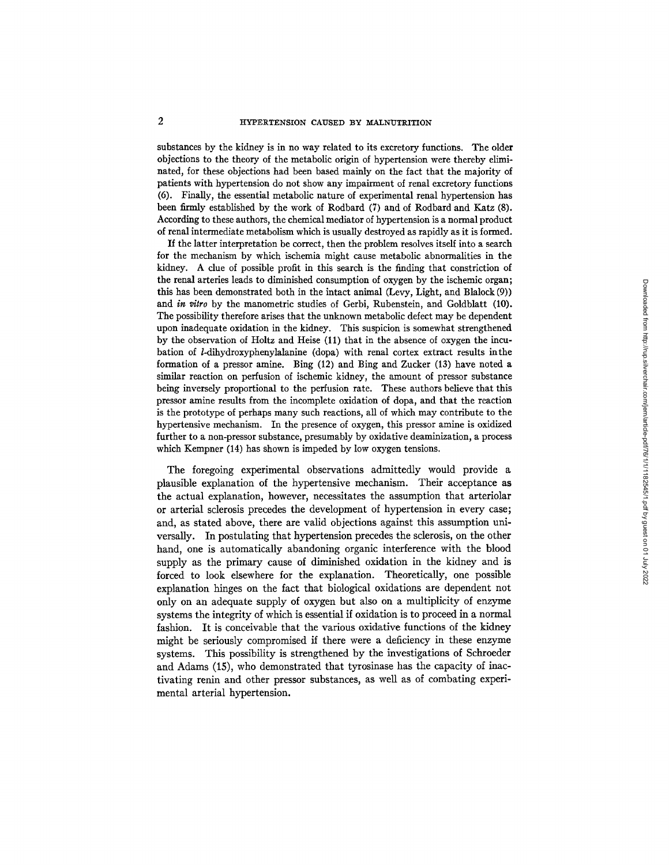substances by the kidney is in no way related to its excretory functions. The older objections to the theory of the metabolic origin of hypertension were thereby eliminated, for these objections had been based mainly on the fact that the majority of patients with hypertension do not show any impairment of renal excretory functions (6). Finally, the essential metabolic nature of experimental renal hypertension has been firmly established by the work of Rodbard (7) and of Rodbard and Katz (8). According to these authors, the chemical mediator of hypertension is a normal product of renal intermediate metabolism which is usually destroyed as rapidly as it is formed.

If the latter interpretation be correct, then the problem resolves itself into a search for the mechanism by which ischemia might cause metabolic abnormalities in the kidney. A clue of possible profit in this search is the finding that constriction of the renal arteries leads to diminished consumption of oxygen by the ischemic organ; this has been demonstrated both in the intact animal (Levy, Light, and Blalock (9)) and *in vitro* by the manometric studies of Gerbi, Rubenstein, and Goldblatt (10). The possibility therefore arises that the unknown metabolic defect may be dependent upon inadequate oxidation in the kidney. This suspicion is somewhat strengthened by the observation of Holtz and Heise (11) that in the absence of oxygen the incubation of l-dihydroxyphenylalanine (dopa) with renal cortex extract results inthe formation of a pressor amine. Bing (12) and Bing and Zucker (13) have noted a similar reaction on peffusion of ischemic kidney, the amount of pressor substance being inversely proportional to the perfusion rate. These authors believe that this pressor amine results from the incomplete oxidation of dopa, and that the reaction is the prototype of perhaps many such reactions, all of which may contribute to the hypertensive mechanism. In the presence of oxygen, this pressor amine is oxidized further to a non-pressor substance, presumably by oxidative deaminization, a process which Kempner (14) has shown is impeded by low oxygen tensions.

The foregoing experimental observations admittedly would provide a plausible explanation of the hypertensive mechanism. Their acceptance as the actual explanation, however, necessitates the assumption that arteriolar or arterial sclerosis precedes the development of hypertension in every case; and, as stated above, there are valid objections against this assumption universally. In postulating that hypertension precedes the sclerosis, on the other hand, one is automatically abandoning organic interference with the blood supply as the primary cause of diminished oxidation in the kidney and is forced to look elsewhere for the explanation. Theoretically, one possible explanation hinges on the fact that biological oxidations are dependent not only on an adequate supply of oxygen but also on a multiplicity of enzyme systems the integrity of which is essential if oxidation is to proceed in a normal fashion. It is conceivable that the various oxidative functions of the kidney might be seriously compromised if there were a deficiency in these enzyme systems. This possibility is strengthened by the investigations of Schroeder and Adams (15), who demonstrated that tyrosinase has the capacity of inactivating renin and other pressor substances, as well as of combating experimental arterial hypertension.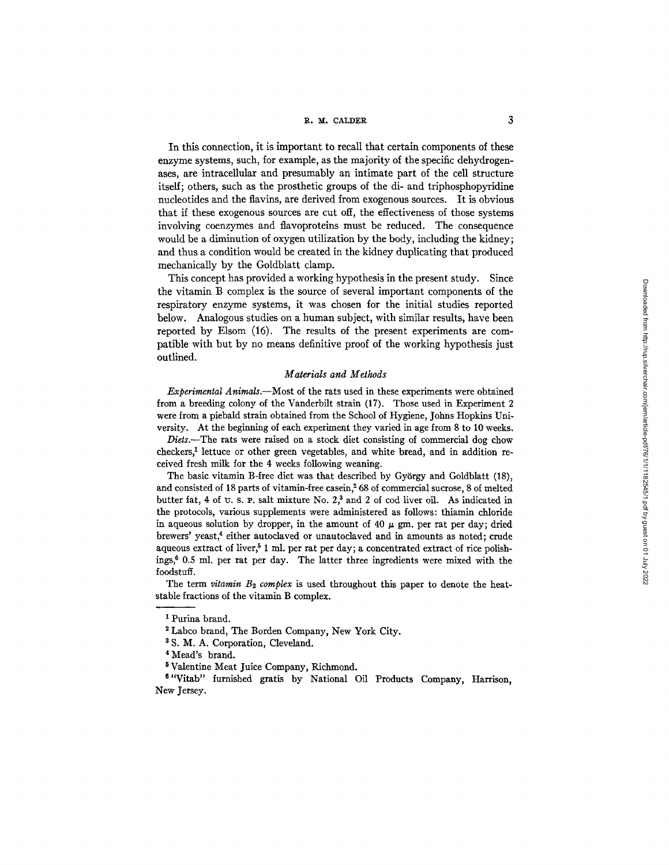In this connection, it is important to recall that certain components of these enzyme systems, such, for example, as the majority of the specific dehydrogenases, are intracellular and presumably an intimate part of the cell structure itself; others, such as the prosthetic groups of the di- and triphosphopyridine nucleotides and the flavins, are derived from exogenous sources. It is obvious that if these exogenous sources are cut off, the effectiveness of those systems involving coenzymes and flavoproteins must be reduced. The consequence would be a diminution of oxygen utilization by the body, including the kidney; and thus a condition would be created in the kidney duplicating that produced mechanically by the Goldblatt clamp.

This concept has provided a working hypothesis in the present study. Since the vitamin B complex is the source of several important components of the respiratory enzyme systems, it was chosen for the initial studies reported below. Analogous studies on a human subject, with similar results, have been reported by Elsom (16). The results of the present experiments are compatible with but by no means definitive proof of the working hypothesis just outlined.

#### *Materials and Methods*

*Experimental Anlmals.--Most* of the rats used in these experiments were obtained from a breeding colony of the Vanderbilt strain (17). Those used in Experiment 2 were from a piebald strain obtained from the School of Hygiene, Johns Hopkins University. At the beginning of each experiment they varied in age from 8 to 10 weeks.

*Diets.--The* rats were raised on a stock diet consisting of commercial dog chow checkers,<sup>1</sup> lettuce or other green vegetables, and white bread, and in addition received fresh milk for the 4 weeks following weaning.

The basic vitamin B-free diet was that described by György and Goldblatt (18), and consisted of 18 parts of vitamin-free casein,<sup>2</sup> 68 of commercial sucrose, 8 of melted butter fat, 4 of  $U$ . s. P. salt mixture No.  $2<sup>3</sup>$  and 2 of cod liver oil. As indicated in the protocols, various supplements were administered as follows: thiamin chloride in aqueous solution by dropper, in the amount of 40  $\mu$  gm. per rat per day; dried brewers' yeast,<sup>4</sup> either autoclaved or unautoclaved and in amounts as noted; crude aqueous extract of liver,  $\beta$  1 ml. per rat per day; a concentrated extract of rice polishings, $60.5$  ml. per rat per day. The latter three ingredients were mixed with the foodstuff.

The term *vitamin B<sub>2</sub> complex* is used throughout this paper to denote the heatstable fractions of the vitamin B complex.

i Purina brand.

Labco brand, The Borden Company, New York City.

<sup>8</sup> S. M. A. Corporation, Cleveland.

<sup>4</sup> Mead's brand.

<sup>6</sup> Valentine Meat Juice Company, Richmond.

*<sup>6&</sup>quot;Vitab"* furnished gratis by National Oil Products Company, Harrison, New Jersey.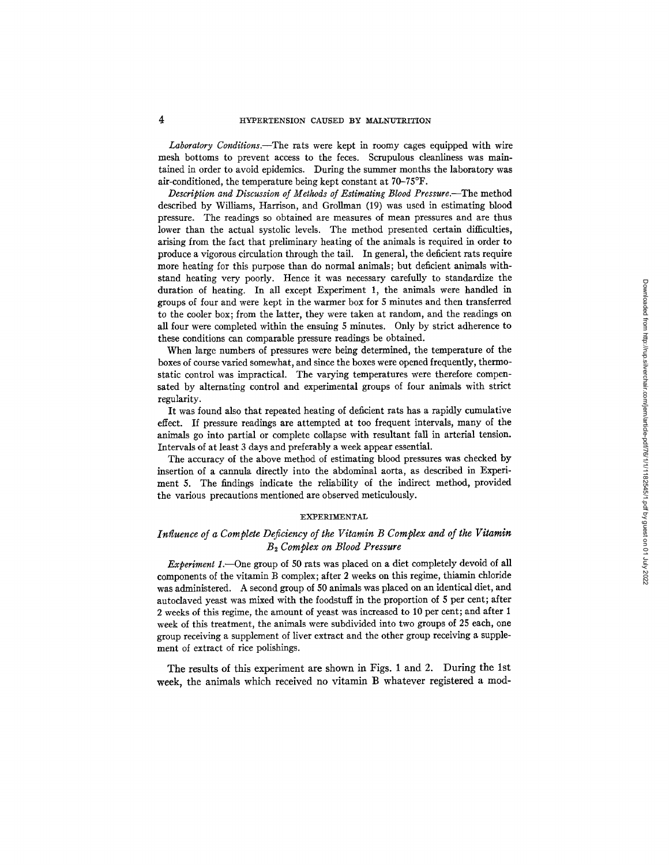## 4 HYPERTENSION CAUSED BY MALNUTRITION

*Laboratory Condltions.--The* rats were kept in roomy cages equipped with wire mesh bottoms to prevent access to the feces. Scrupulous cleanliness was maintained in order to avoid epidemics. During the summer months the laboratory was air-conditioned, the temperature being kept constant at 70--75°F.

*Description and Discussion of Methods of Estimating Blood Pressure.*--The method described by Williams, Harrison, and Grollman (19) was used in estimating blood pressure. The readings so obtained are measures of mean pressures and are thus lower than the actual systolic levels. The method presented certain difficulties, arising from the fact that preliminary heating of the animals is required in order to produce a vigorous circulation through the tail. In general, the deficient rats require more heating for this purpose than do normal animals; but deficient animals withstand heating very poorly. Hence it was necessary carefully to standardize the duration of heating. In all except Experiment 1, the animals were handled in groups of four and were kept in the warmer box for 5 minutes and then transferred to the cooler box; from the latter, they were taken at random, and the readings on all four were completed within the ensuing 5 minutes. Only by strict adherence to these conditions can comparable pressure readings be obtained.

When large numbers of pressures were being determined, the temperature of the boxes of course varied somewhat, and since the boxes were opened frequently, thermostatic control was impractical. The varying temperatures were therefore compensated by alternating control and experimental groups of four animals with strict regularity.

It was found also that repeated heating of deficient rats has a rapidly cumulative effect. If pressure readings are attempted at too frequent intervals, many of the animals go into partial or complete collapse with resultant fall in arterial tension. Intervals of at least 3 days and preferably a week appear essential.

The accuracy of the above method of estimating blood pressures was checked by insertion of a cannula directly into the abdominal aorta, as described in Experiment 5. The findings indicate the reliability of the indirect method, provided the various precautions mentioned are observed meticulously.

### EXPERIMENTAL

## *Influence of a Complete Deficiency of the Vitamin B Complex and of the Vitamin B2 Complex on Blood Pressure*

*Experiment 1.*-One group of 50 rats was placed on a diet completely devoid of all components of the vitamin B complex; after 2 weeks on this regime, thiamin chloride was administered. A second group of 50 animals was placed on an identical diet, and autoclaved yeast was mixed with the foodstuff in the proportion of 5 per cent; after 2 weeks of this regime, the amount of yeast was increased to 10 per cent; and after 1 week of this treatment, the animals were subdivided into two groups of 25 each, one group receiving a supplement of liver extract and the other group receiving a supplement of extract of rice polishings.

The results of this experiment are shown in Figs. 1 and 2. During the 1st week, the animals which received no vitamin B whatever registered a mod-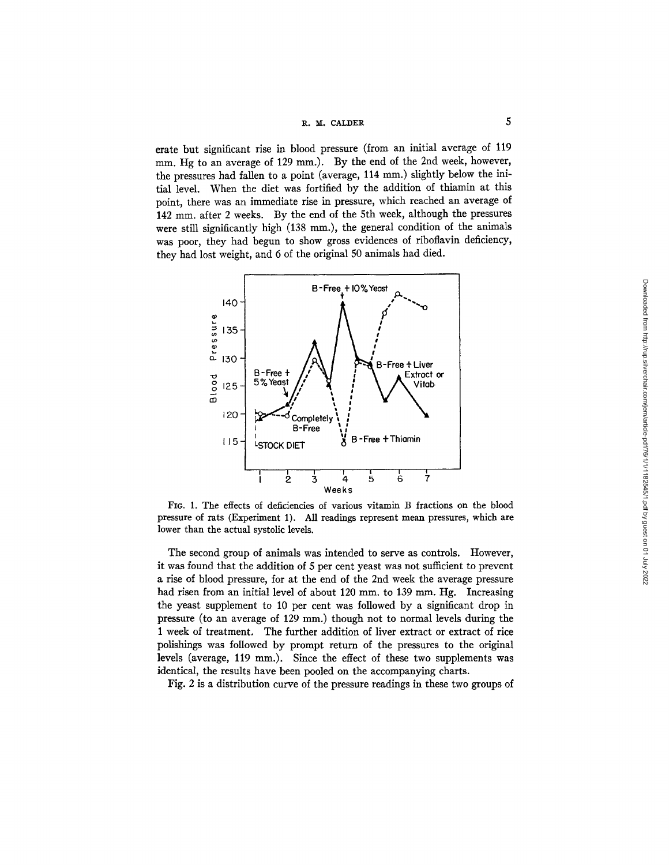erate but significant rise in blood pressure (from an initial average of 119 mm. Hg to an average of 129 mm.). By the end of the 2nd week, however, the pressures had fallen to a point (average, 114 mm.) slightly below the initial level. When the diet was fortified by the addition of thiamin at this point, there was an immediate rise in pressure, which reached an average of 142 mm. after 2 weeks. By the end of the 5th week, although the pressures were still significantly high (138 mm.), the general condition of the animals was poor, they had begun to show gross evidences of riboflavin deficiency, they had lost weight, and 6 of the original 50 animals had died.



FIG. 1. The effects of deficiencies of various vitamin B fractions on the blood pressure of rats (Experiment 1). All readings represent mean pressures, which **are**  lower than the actual systolic levels.

The second group of animals was intended to serve as controls. However, it was found that the addition of 5 per cent yeast was not sufficient to prevent a rise of blood pressure, for at the end of the 2nd week the average pressure had risen from an initial level of about 120 mm. to 139 mm. Hg. Increasing the yeast supplement to 10 per cent was followed by a significant drop in pressure (to an average of 129 mm.) though not to normal levels during the 1 week of treatment. The further addition of liver extract or extract of rice polishings was followed by prompt return of the pressures to the original levels (average, 119 mm.). Since the effect of these two supplements was identical, the results have been pooled on the accompanying charts.

Fig. 2 is a distribution curve of the pressure readings in these two groups of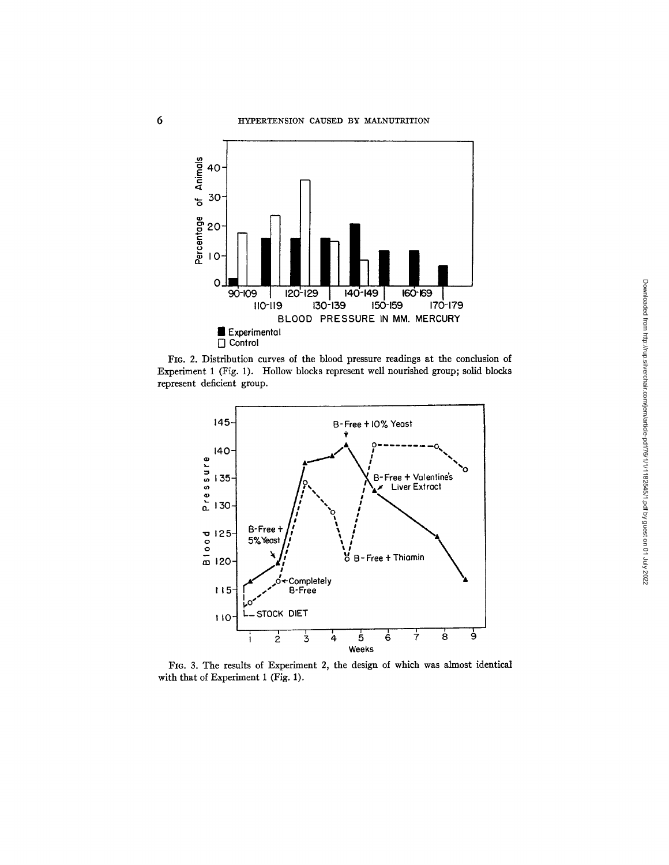

FIo. 2. Distribution curves of the blood pressure readings at the conclusion of Experiment 1 (Fig. 1). Hollow blocks represent well nourished group; solid blocks represent deficient group.



FIG. 3. The results of Experiment 2, the design of which was almost identical with that of Experiment 1 (Fig. 1).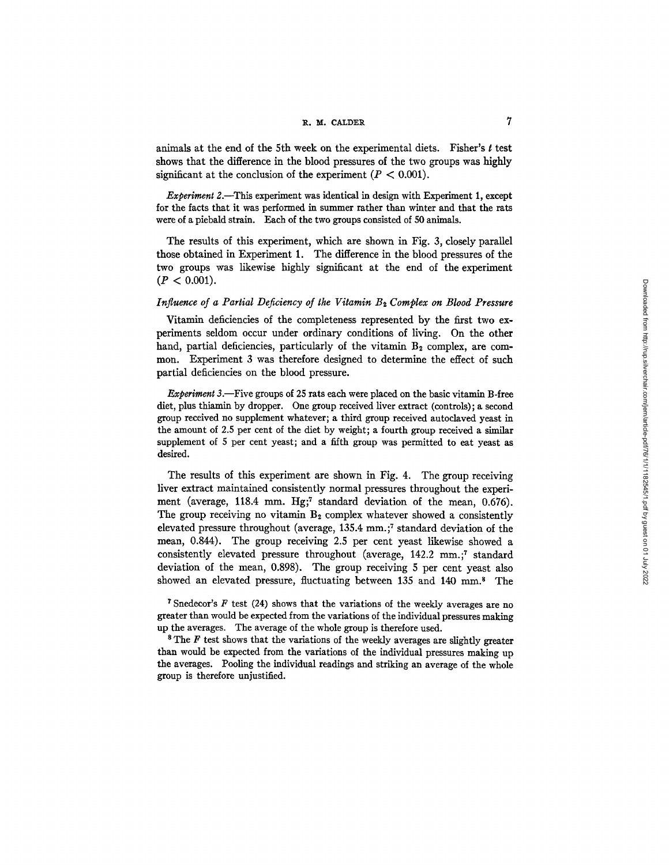animals at the end of the 5th week on the experimental diets. Fisher's  $t$  test shows that the difference in the blood pressures of the two groups was highly significant at the conclusion of the experiment ( $P < 0.001$ ).

*Experiment 2.*—This experiment was identical in design with Experiment 1, except for the facts that it was performed in summer rather than winter and that the rats were of a piebald strain. Each of the two groups consisted of 50 animals.

The results of this experiment, which are shown in Fig. 3, closely parallel those obtained in Experiment 1. The difference in the blood pressures of the two groups was likewise highly significant at the end of the experiment  $(P < 0.001)$ .

### *Influence of a Partial Deficiency of the Vitamin B2 Complex on Blood Pressure*

Vitamin deficiencies of the completeness represented by the first two experiments seldom occur under ordinary conditions of living. On the other hand, partial deficiencies, particularly of the vitamin  $B_2$  complex, are common. Experiment 3 was therefore designed to determine the effect of such partial deficiencies on the blood pressure.

*Experiment* &--Five groups of 25 rats each were placed on the basic vitamin B-free diet, plus thiamin by dropper. One group received liver extract (controls); a second group received no supplement whatever; a third group received autoclaved yeast in the amount of 2.5 per cent of the diet by weight; a fourth group received a similar supplement of 5 per cent yeast; and a fifth group was permitted to eat yeast as desired.

The results of this experiment are shown in Fig. 4. The group receiving liver extract maintained consistently normal pressures throughout the experiment (average, 118.4 mm.  $Hg_i^7$  standard deviation of the mean, 0.676). The group receiving no vitamin  $B_2$  complex whatever showed a consistently elevated pressure throughout (average, 135.4 mm.;7 standard deviation of the mean, 0.844). The group receiving 2.5 per cent yeast likewise showed a consistently elevated pressure throughout (average, 142.2 mm.;<sup>7</sup> standard deviation of the mean, 0.898). The group receiving 5 per cent yeast also showed an elevated pressure, fluctuating between 135 and 140 mm.<sup>8</sup> The

<sup>7</sup> Snedecor's  $F$  test (24) shows that the variations of the weekly averages are no greater than would be expected from the variations of the individual pressures making up the averages. The average of the whole group is therefore used.

 $\delta$  The F test shows that the variations of the weekly averages are slightly greater than would be expected from the variations of the individual pressures making up the averages. Pooling the individual readings and striking an average of the whole group is therefore unjustified.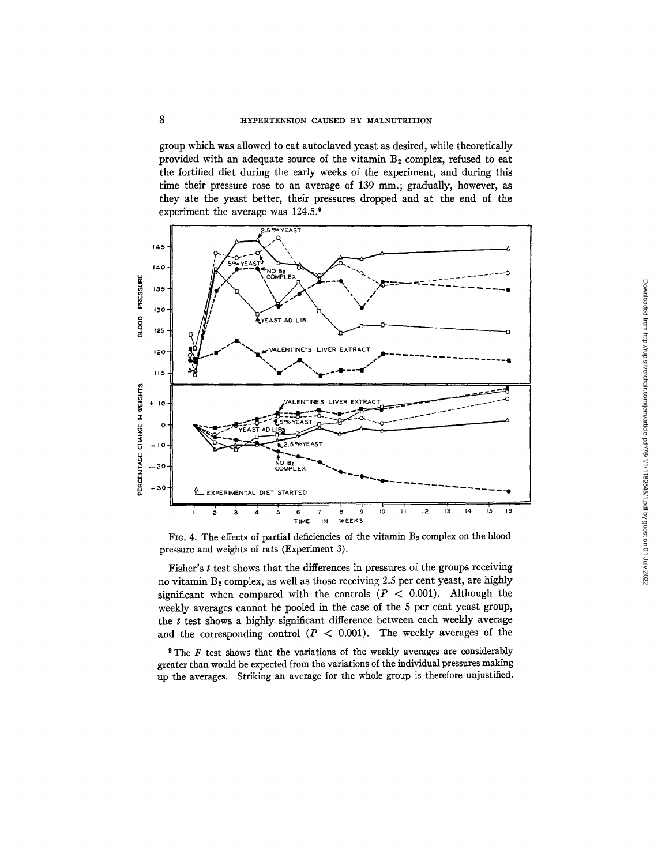**group which was allowed to eat autoclaved yeast as desired, while theoretically provided with an adequate source of the vitamin B2 complex, refused to eat the fortified diet during the early weeks of the experiment, and during this time their pressure rose to an average of 139 mm.; gradually, however, as they ate the yeast better, their pressures dropped and at the end of the ex )eriment the average was** 124.5. 9



FIG. 4. The effects of partial deficiencies of the vitamin B<sub>2</sub> complex on the blood **pressure and weights of rats (Experiment 3).** 

**Fisher's t test shows that the differences in pressures of the groups receiving**  no vitamin B<sub>2</sub> complex, as well as those receiving 2.5 per cent yeast, are highly significant when compared with the controls  $(P < 0.001)$ . Although the **weekly averages cannot be pooled in the case of the 5 per cent yeast group, the t test shows a highly significant difference between each weekly average**  and the corresponding control  $(P < 0.001)$ . The weekly averages of the

**9 The F test shows that the variations of the weekly averages are considerably greater than would be expected from the variations of the individual pressures making up the averages. Striking an average for the whole group is therefore unjustified.**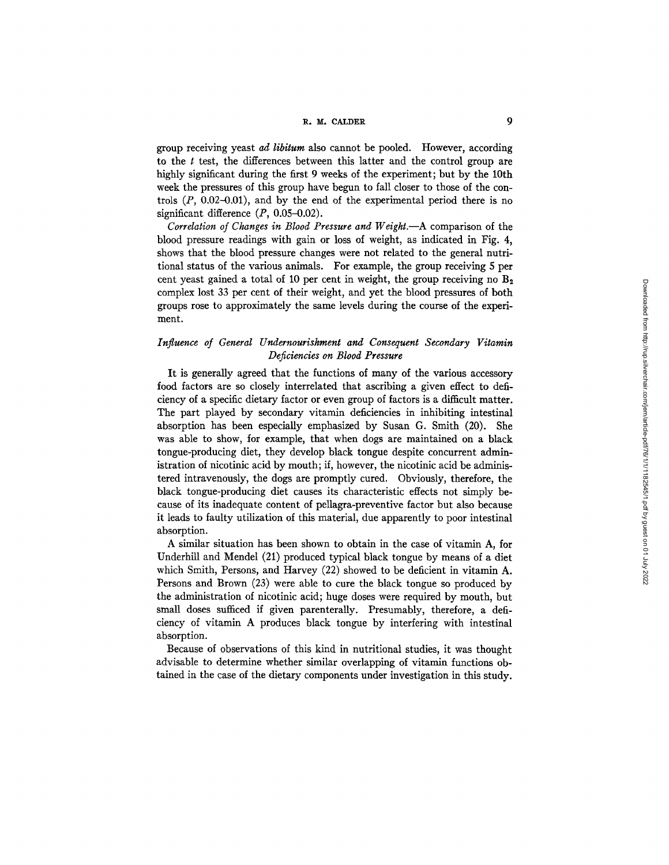group receiving yeast ad *libitum* also cannot be pooled. However, according to the  $t$  test, the differences between this latter and the control group are highly significant during the first 9 weeks of the experiment; but by the 10th week the pressures of this group have begun to fall closer to those of the controls  $(P, 0.02-0.01)$ , and by the end of the experimental period there is no significant difference  $(P, 0.05-0.02)$ .

*Correlation of Changes in Blood Pressure and Weight.--A* comparison of the blood pressure readings with gain or loss of weight, as indicated in Fig. 4, shows that the blood pressure changes were not related to the general nutritional status of the various animals. For example, the group receiving 5 per cent yeast gained a total of 10 per cent in weight, the group receiving no  $B_2$ complex lost 33 per cent of their weight, and yet the blood pressures of both groups rose to approximately the same levels during the course of the experiment.

## *Influence of General Undernourishment and Consequent Secondary Vitamin Deficiencies on Blood Pressure*

It is generally agreed that the functions of many of the various accessory food factors are so closely interrelated that ascribing a given effect to deficiency of a specific dietary factor or even group of factors is a difficult matter. The part played by secondary vitamin deficiencies in inhibiting intestinal absorption has been especially emphasized by Susan G. Smith (20). She was able to show, for example, that when dogs are maintained on a black tongue-producing diet, they develop black tongue despite concurrent administration of nicotinic acid by mouth; if, however, the nicotinic acid be administered intravenously, the dogs are promptly cured. Obviously, therefore, the black tongue-producing diet causes its characteristic effects not simply because of its inadequate content of pellagra-preventive factor but also because it leads to faulty utilization of this material, due apparently to poor intestinal absorption.

A similar situation has been shown to obtain in the case of vitamin A, for Underhill and Mendel (21) produced typical black tongue by means of a diet which Smith, Persons, and Harvey (22) showed to be deficient in vitamin A. Persons and Brown (23) were able to cure the black tongue so produced by the administration of nicotinic acid; huge doses were required by mouth, but small doses sufficed if given parenterally. Presumably, therefore, a deficiency of vitamin A produces black tongue by interfering with intestinal absorption.

Because of observations of this kind in nutritional studies, it was thought advisable to determine whether similar overlapping of vitamin functions obtained in the case of the dietary components under investigation in this study.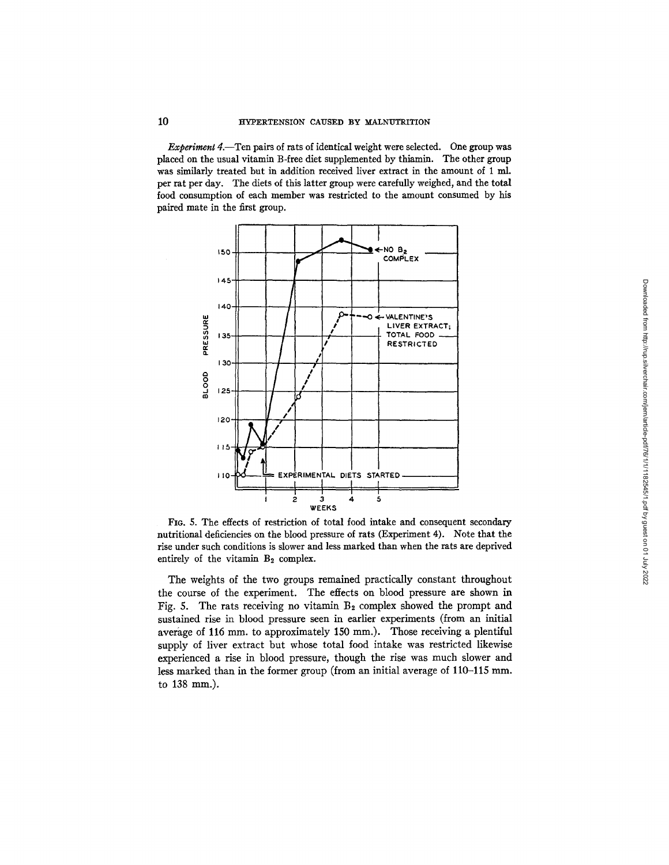*Experiment 4.*—Ten pairs of rats of identical weight were selected. One group was placed on the usual vitamin B-free diet supplemented by thiamin. The other group was similarly treated but in addition received liver extract in the amount of 1 ml. per rat per day. The diets of this latter group were carefully weighed, and the total food consumption of each member was restricted to the amount consumed by his paired mate in the first group.



FIG. 5. The effects of restriction of total food intake and consequent secondary nutritional deficiencies on the blood pressure of rats (Experiment 4). Note that the rise under such conditions is slower and less marked than when the rats are deprived entirely of the vitamin  $B_2$  complex.

The weights of the two groups remained practically constant throughout the course of the experiment. The effects on blood pressure are shown in Fig. 5. The rats receiving no vitamin  $B_2$  complex showed the prompt and sustained rise in blood pressure seen in earlier experiments (from an initial average of 116 mm. to approximately 150 mm.). Those receiving a plentiful supply of liver extract but whose total food intake was restricted likewise experienced a rise in blood pressure, though the rise was much slower and less marked than in the former group (from an initial average of 110-115 mm. to 138 mm.).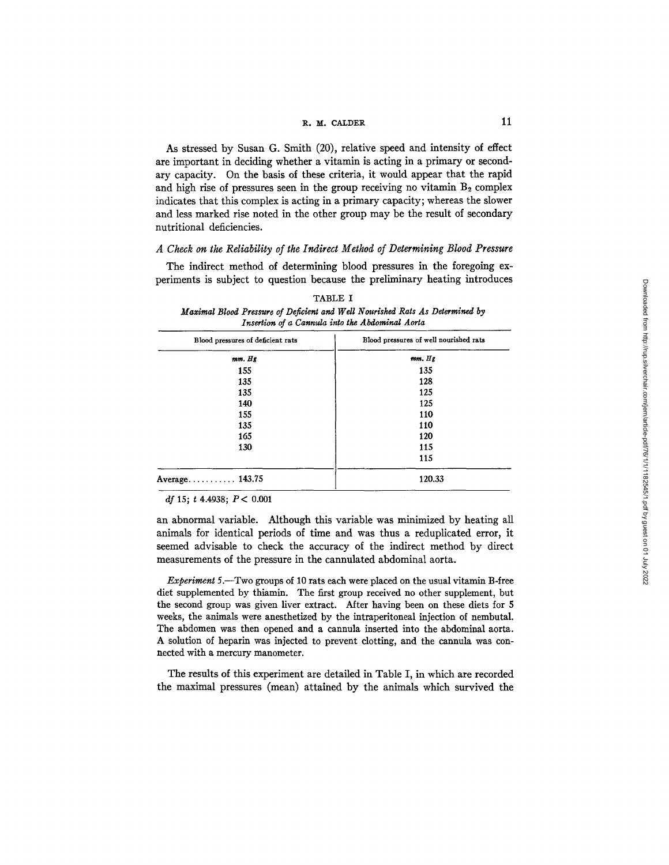As stressed by Susan G. Smith (20), relative speed and intensity of effect are important in deciding whether a vitamin is acting in a primary or secondary capacity. On the basis of these criteria, it would appear that the rapid and high rise of pressures seen in the group receiving no vitamin  $B_2$  complex indicates that this complex is acting in a primary capacity; whereas the slower and less marked rise noted in the other group may be the result of secondary nutritional deficiencies.

### *A Check on the Reliability of the Indirect Method of Determining Blood Pressure*

The indirect method of determining blood pressures in the foregoing experiments is subject to question because the preliminary heating introduces

| Blood pressures of deficient rats | Blood pressures of well nourished rats |
|-----------------------------------|----------------------------------------|
| $mm.$ $Hg$                        | $mm.$ $Hg$                             |
| 155                               | 135                                    |
| 135                               | 128                                    |
| 135                               | 125                                    |
| 140                               | 125                                    |
| 155                               | 110                                    |
| 135                               | 110                                    |
| 165                               | 120                                    |
| 130                               | 115                                    |
|                                   | 115                                    |
| Average 143.75                    | 120.33                                 |

| \RT. |  |
|------|--|
|------|--|

*Maximal Blood Pressure of Deficient and Well Nourished Rats As Determined by* 

*df* 15; t 4.4938; P< 0.001

an abnormal variable. Although this variable was minimized by heating all animals for identical periods of time and was thus a reduplicated error, it seemed advisable to check the accuracy of the indirect method by direct measurements of the pressure in the cannulated abdominal aorta.

*Experiment 5.*—Two groups of 10 rats each were placed on the usual vitamin B-free diet supplemented by thiamin. The first group received no other supplement, but the second group was given liver extract. Mter having been on these diets for 5 weeks, the animals were anesthetized by the intraperitoneal injection of nembutal. The abdomen was then opened and a cannula inserted into the abdominal aorta. A solution of heparin was injected to prevent clotting, and the cannula was connected with a mercury manometer.

The results of this experiment are detailed in Table I, in which are recorded the maximal pressures (mean) attained by the animals which survived the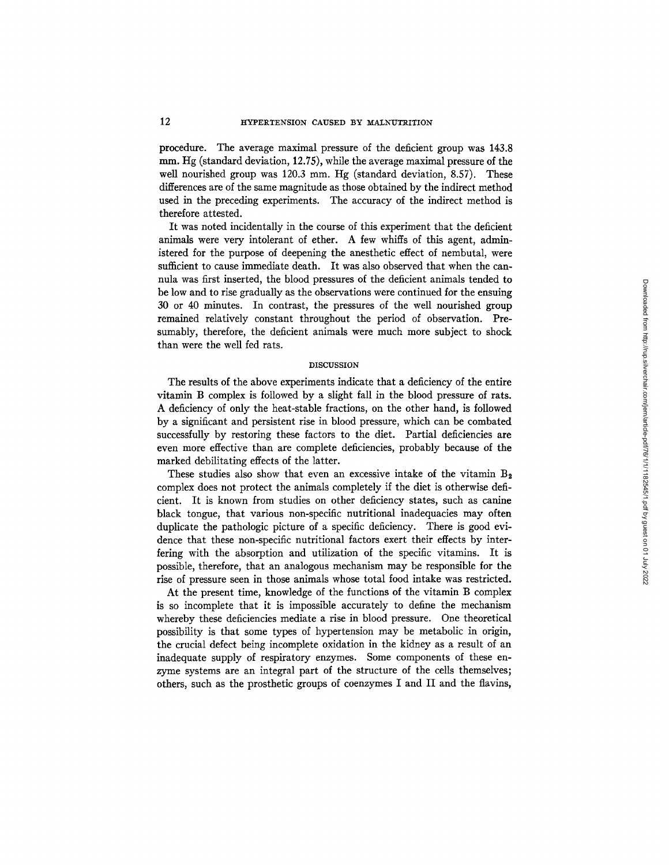procedure. The average maximal pressure of the deficient group was 143.8 mm. Hg (standard deviation, 12.75), while the average maximal pressure of the well nourished group was 120.3 mm. Hg (standard deviation, 8.57). These differences are of the same magnitude as those obtained by the indirect method used in the preceding experiments. The accuracy of the indirect method is therefore attested.

It was noted incidentally in the course of this experiment that the deficient animals were very intolerant of ether. A few whiffs of this agent, administered for the purpose of deepening the anesthetic effect of nembutal, were sufficient to cause immediate death. It was also observed that when the cannula was first inserted, the blood pressures of the deficient animals tended to be low and to rise gradually as the observations were continued *for* the ensuing 30 or 40 minutes. In contrast, the pressures of the well nourished group remained relatively constant throughout the period of observation. Presumably, therefore, the deficient animals were much more subject to shock than were the well fed rats.

#### **DISCUSSION**

The results of the above experiments indicate that a deficiency of the entire vitamin B complex is followed by a slight fall in the blood pressure of rats. A deficiency of only the heat-stable fractions, on the other hand, is followed by a significant and persistent rise in blood pressure, which can be combated successfully by restoring these factors to the diet. Partial deficiencies are even more effective than are complete deficiencies, probably because of the marked debilitating effects of the latter.

These studies also show that even an excessive intake of the vitamin  $B_2$ complex does not protect the animals completely if the diet is otherwise deficient. It is known from studies on other deficiency states, such as canine black tongue, that various non-specific nutritional inadequacies may often duplicate the pathologic picture of a specific deficiency. There is good evidence that these non-specific nutritional factors exert their effects by interfering with the absorption and utilization of the specific vitamins. It is possible, therefore, that an analogous mechanism may be responsible for the rise of pressure seen in those animals whose total food intake was restricted.

At the present time, knowledge of the functions of the vitamin B complex is so incomplete that it is impossible accurately to define the mechanism whereby these deficiencies mediate a rise in blood pressure. One theoretical possibility is that some types of hypertension may be metabolic in origin, the crucial defect being incomplete oxidation in the kidney as a result of an inadequate supply of respiratory enzymes. Some components of these enzyme systems are an integral part of the structure of the cells themselves; others, such as the prosthetic groups of coenzymes I and II and the flavins,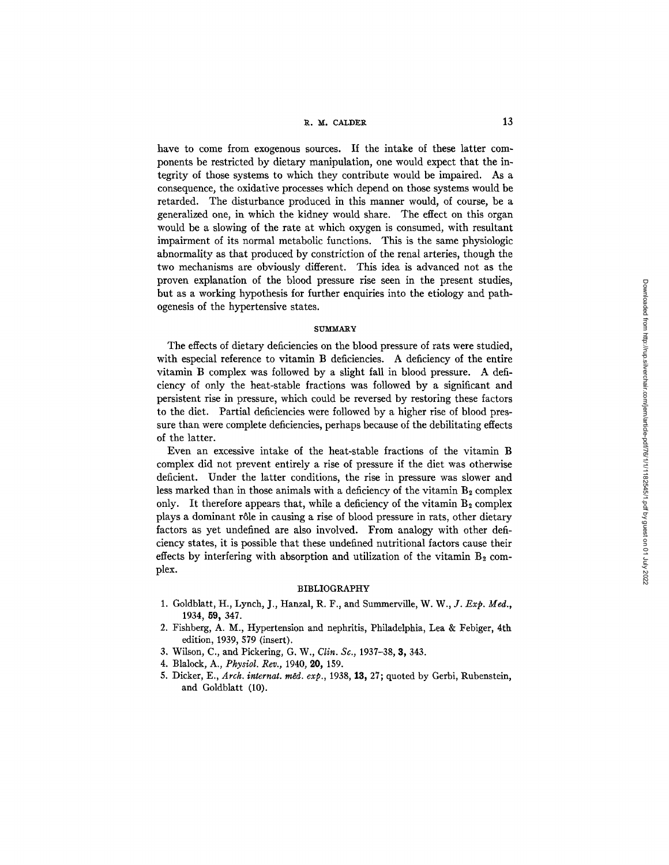have to come from exogenous sources. If the intake of these latter components be restricted by dietary manipulation, one would expect that the integrity of those systems to which they contribute would be impaired. As a consequence, the oxidative processes which depend on those systems would be retarded. The disturbance produced in this manner would, of course, be a generalized one, in which the kidney would share. The effect on this organ would be a slowing of the rate at which oxygen is consumed, with resultant impairment of its normal metabolic functions. This is the same physiologic abnormality as that produced by constriction of the renal arteries, though the two mechanisms are obviously different. This idea is advanced not as the proven explanation of the blood pressure rise seen in the present studies, but as a working hypothesis for further enquiries into the etiology and pathogenesis of the hypertensive states.

#### **SUMMARY**

The effects of dietary deficiencies on the blood pressure of rats were studied, with especial reference to vitamin B deficiencies. A deficiency of the entire vitamin B complex was followed by a slight fall in blood pressure. A deficiency of only the heat-stable fractions was followed by a significant and persistent rise in pressure, which could be reversed by restoring these factors to the diet. Partial deficiencies were followed by a higher rise of blood pressure than were complete deficiencies, perhaps because of the debilitating effects of the latter.

Even an excessive intake of the heat-stable fractions of the vitamin B complex did not prevent entirely a rise of pressure if the diet was otherwise deficient. Under the latter conditions, the rise in pressure was slower and less marked than in those animals with a deficiency of the vitamin  $B_2$  complex only. It therefore appears that, while a deficiency of the vitamin  $B_2$  complex plays a dominant rôle in causing a rise of blood pressure in rats, other dietary factors as yet undefined are also involved. From analogy with other deficiency states, it is possible that these undefined nutritional factors cause their effects by interfering with absorption and utilization of the vitamin  $B_2$  complex.

#### BIBLIOGRAPHY

- 1. Goldblatt, H., Lynch, J., Hanzal, R. F., and Summerville, *W. W., J. Exp. Med.,*  1934, 59, 347.
- 2. Fishberg, A. M., Hypertension and nephritis, Philadelphia, Lea & Febiger, 4th edition, 1939, 579 (insert).
- 3. Wilson, C., and Pickering, G. W., *Clin. So.,* 1937-38, 3, 343.
- 4. Blalock, A., *Physiol. Rev.,* 1940, 20, 159.
- 5. Dicker, E., Arch. internat. méd. exp., 1938, 13, 27; quoted by Gerbi, Rubenstein, and Goldblatt (10).